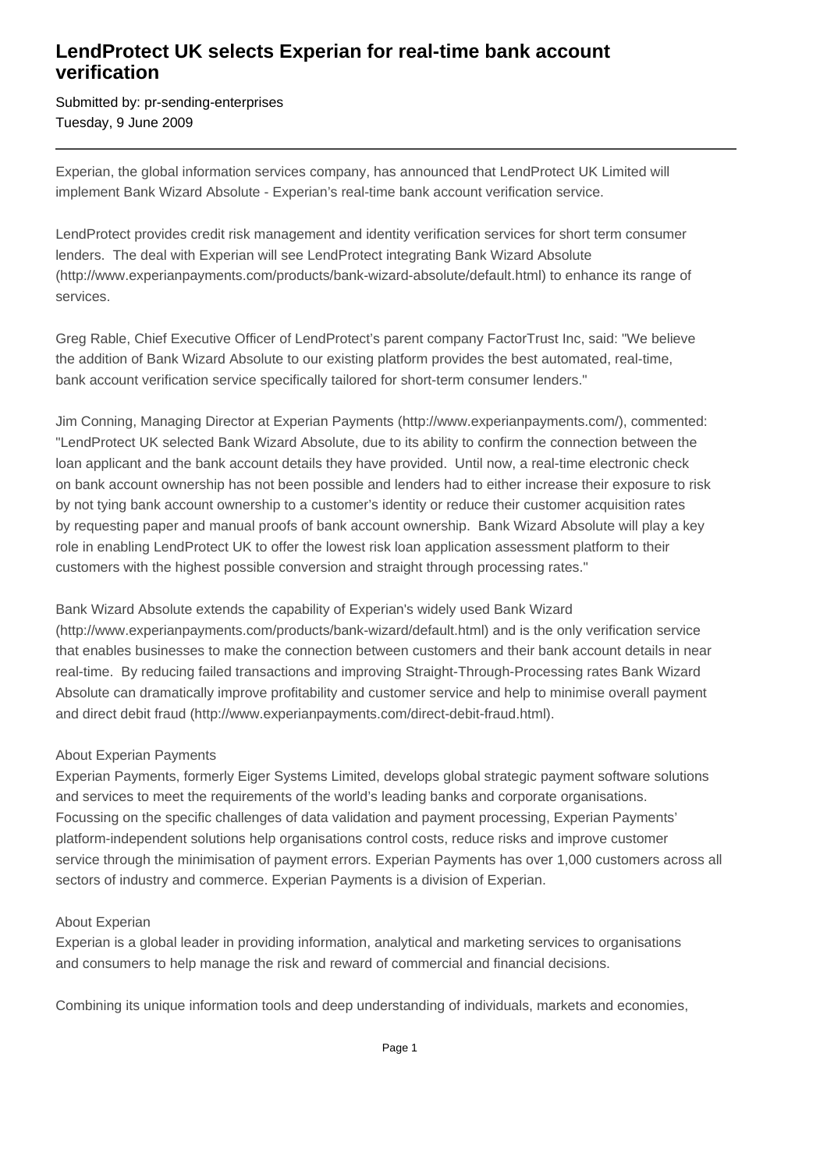## **LendProtect UK selects Experian for real-time bank account verification**

Submitted by: pr-sending-enterprises Tuesday, 9 June 2009

Experian, the global information services company, has announced that LendProtect UK Limited will implement Bank Wizard Absolute - Experian's real-time bank account verification service.

LendProtect provides credit risk management and identity verification services for short term consumer lenders. The deal with Experian will see LendProtect integrating Bank Wizard Absolute (http://www.experianpayments.com/products/bank-wizard-absolute/default.html) to enhance its range of services.

Greg Rable, Chief Executive Officer of LendProtect's parent company FactorTrust Inc, said: "We believe the addition of Bank Wizard Absolute to our existing platform provides the best automated, real-time, bank account verification service specifically tailored for short-term consumer lenders."

Jim Conning, Managing Director at Experian Payments (http://www.experianpayments.com/), commented: "LendProtect UK selected Bank Wizard Absolute, due to its ability to confirm the connection between the loan applicant and the bank account details they have provided. Until now, a real-time electronic check on bank account ownership has not been possible and lenders had to either increase their exposure to risk by not tying bank account ownership to a customer's identity or reduce their customer acquisition rates by requesting paper and manual proofs of bank account ownership. Bank Wizard Absolute will play a key role in enabling LendProtect UK to offer the lowest risk loan application assessment platform to their customers with the highest possible conversion and straight through processing rates."

Bank Wizard Absolute extends the capability of Experian's widely used Bank Wizard (http://www.experianpayments.com/products/bank-wizard/default.html) and is the only verification service that enables businesses to make the connection between customers and their bank account details in near real-time. By reducing failed transactions and improving Straight-Through-Processing rates Bank Wizard Absolute can dramatically improve profitability and customer service and help to minimise overall payment and direct debit fraud (http://www.experianpayments.com/direct-debit-fraud.html).

## About Experian Payments

Experian Payments, formerly Eiger Systems Limited, develops global strategic payment software solutions and services to meet the requirements of the world's leading banks and corporate organisations. Focussing on the specific challenges of data validation and payment processing, Experian Payments' platform-independent solutions help organisations control costs, reduce risks and improve customer service through the minimisation of payment errors. Experian Payments has over 1,000 customers across all sectors of industry and commerce. Experian Payments is a division of Experian.

## About Experian

Experian is a global leader in providing information, analytical and marketing services to organisations and consumers to help manage the risk and reward of commercial and financial decisions.

Combining its unique information tools and deep understanding of individuals, markets and economies,